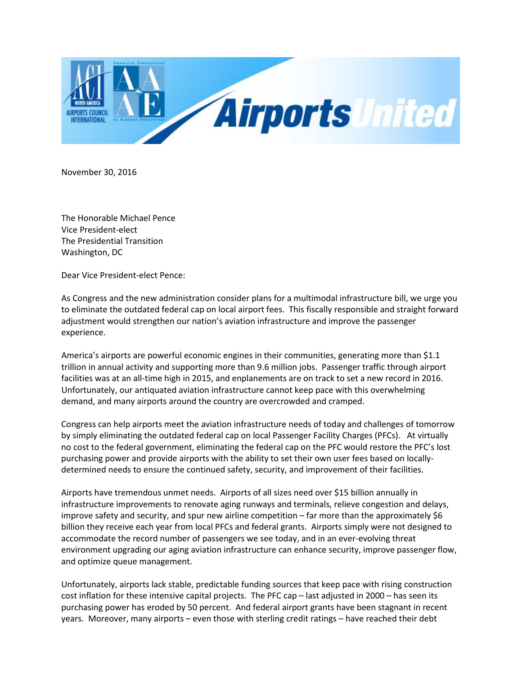

November 30, 2016

The Honorable Michael Pence Vice President-elect The Presidential Transition Washington, DC

Dear Vice President-elect Pence:

As Congress and the new administration consider plans for a multimodal infrastructure bill, we urge you to eliminate the outdated federal cap on local airport fees. This fiscally responsible and straight forward adjustment would strengthen our nation's aviation infrastructure and improve the passenger experience.

America's airports are powerful economic engines in their communities, generating more than \$1.1 trillion in annual activity and supporting more than 9.6 million jobs. Passenger traffic through airport facilities was at an all-time high in 2015, and enplanements are on track to set a new record in 2016. Unfortunately, our antiquated aviation infrastructure cannot keep pace with this overwhelming demand, and many airports around the country are overcrowded and cramped.

Congress can help airports meet the aviation infrastructure needs of today and challenges of tomorrow by simply eliminating the outdated federal cap on local Passenger Facility Charges (PFCs). At virtually no cost to the federal government, eliminating the federal cap on the PFC would restore the PFC's lost purchasing power and provide airports with the ability to set their own user fees based on locallydetermined needs to ensure the continued safety, security, and improvement of their facilities.

Airports have tremendous unmet needs. Airports of all sizes need over \$15 billion annually in infrastructure improvements to renovate aging runways and terminals, relieve congestion and delays, improve safety and security, and spur new airline competition – far more than the approximately \$6 billion they receive each year from local PFCs and federal grants. Airports simply were not designed to accommodate the record number of passengers we see today, and in an ever-evolving threat environment upgrading our aging aviation infrastructure can enhance security, improve passenger flow, and optimize queue management.

Unfortunately, airports lack stable, predictable funding sources that keep pace with rising construction cost inflation for these intensive capital projects. The PFC cap – last adjusted in 2000 – has seen its purchasing power has eroded by 50 percent. And federal airport grants have been stagnant in recent years. Moreover, many airports – even those with sterling credit ratings – have reached their debt